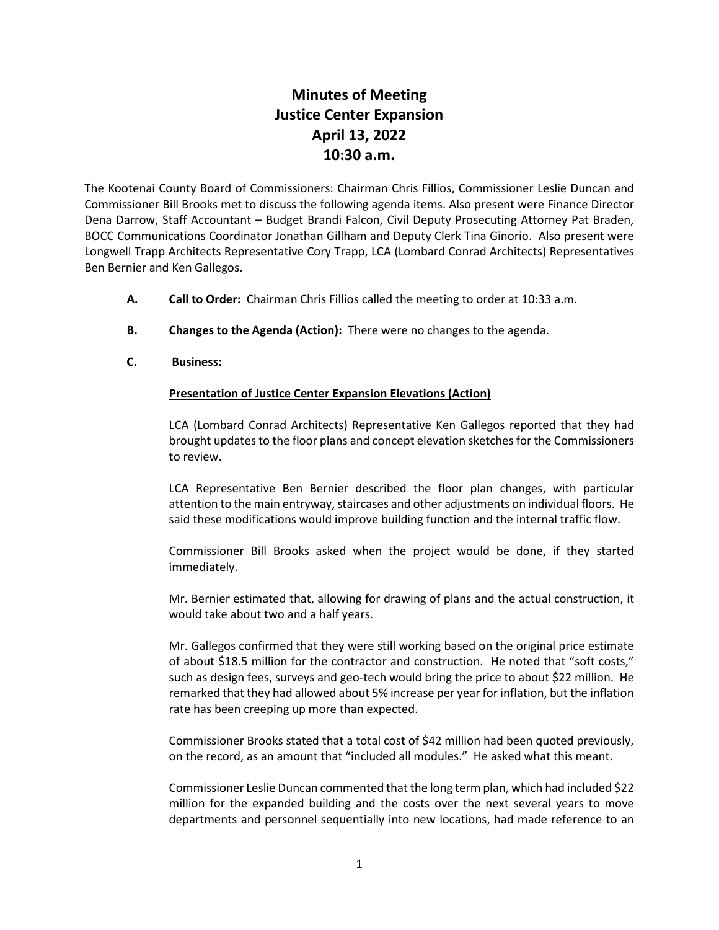## **Minutes of Meeting Justice Center Expansion April 13, 2022 10:30 a.m.**

The Kootenai County Board of Commissioners: Chairman Chris Fillios, Commissioner Leslie Duncan and Commissioner Bill Brooks met to discuss the following agenda items. Also present were Finance Director Dena Darrow, Staff Accountant – Budget Brandi Falcon, Civil Deputy Prosecuting Attorney Pat Braden, BOCC Communications Coordinator Jonathan Gillham and Deputy Clerk Tina Ginorio. Also present were Longwell Trapp Architects Representative Cory Trapp, LCA (Lombard Conrad Architects) Representatives Ben Bernier and Ken Gallegos.

- **A. Call to Order:** Chairman Chris Fillios called the meeting to order at 10:33 a.m.
- **B. Changes to the Agenda (Action):** There were no changes to the agenda.
- **C. Business:**

## **Presentation of Justice Center Expansion Elevations (Action)**

LCA (Lombard Conrad Architects) Representative Ken Gallegos reported that they had brought updates to the floor plans and concept elevation sketches for the Commissioners to review.

LCA Representative Ben Bernier described the floor plan changes, with particular attention to the main entryway, staircases and other adjustments on individual floors. He said these modifications would improve building function and the internal traffic flow.

Commissioner Bill Brooks asked when the project would be done, if they started immediately.

Mr. Bernier estimated that, allowing for drawing of plans and the actual construction, it would take about two and a half years.

Mr. Gallegos confirmed that they were still working based on the original price estimate of about \$18.5 million for the contractor and construction. He noted that "soft costs," such as design fees, surveys and geo-tech would bring the price to about \$22 million. He remarked that they had allowed about 5% increase per year for inflation, but the inflation rate has been creeping up more than expected.

Commissioner Brooks stated that a total cost of \$42 million had been quoted previously, on the record, as an amount that "included all modules." He asked what this meant.

Commissioner Leslie Duncan commented that the long term plan, which had included \$22 million for the expanded building and the costs over the next several years to move departments and personnel sequentially into new locations, had made reference to an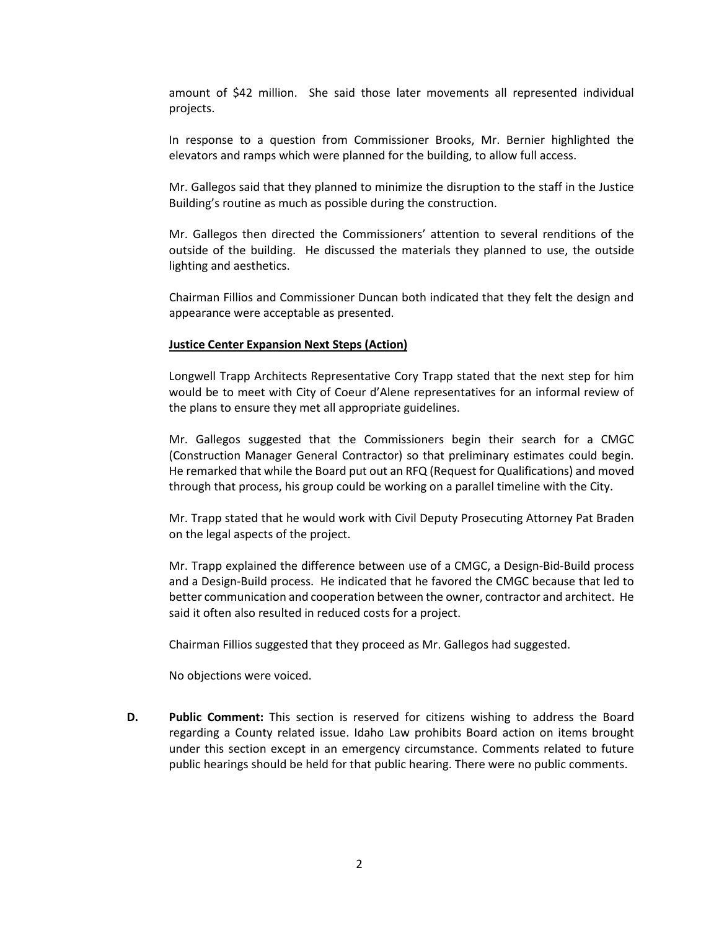amount of \$42 million. She said those later movements all represented individual projects.

In response to a question from Commissioner Brooks, Mr. Bernier highlighted the elevators and ramps which were planned for the building, to allow full access.

Mr. Gallegos said that they planned to minimize the disruption to the staff in the Justice Building's routine as much as possible during the construction.

Mr. Gallegos then directed the Commissioners' attention to several renditions of the outside of the building. He discussed the materials they planned to use, the outside lighting and aesthetics.

Chairman Fillios and Commissioner Duncan both indicated that they felt the design and appearance were acceptable as presented.

## **Justice Center Expansion Next Steps (Action)**

Longwell Trapp Architects Representative Cory Trapp stated that the next step for him would be to meet with City of Coeur d'Alene representatives for an informal review of the plans to ensure they met all appropriate guidelines.

Mr. Gallegos suggested that the Commissioners begin their search for a CMGC (Construction Manager General Contractor) so that preliminary estimates could begin. He remarked that while the Board put out an RFQ (Request for Qualifications) and moved through that process, his group could be working on a parallel timeline with the City.

Mr. Trapp stated that he would work with Civil Deputy Prosecuting Attorney Pat Braden on the legal aspects of the project.

Mr. Trapp explained the difference between use of a CMGC, a Design-Bid-Build process and a Design-Build process. He indicated that he favored the CMGC because that led to better communication and cooperation between the owner, contractor and architect. He said it often also resulted in reduced costs for a project.

Chairman Fillios suggested that they proceed as Mr. Gallegos had suggested.

No objections were voiced.

**D. Public Comment:** This section is reserved for citizens wishing to address the Board regarding a County related issue. Idaho Law prohibits Board action on items brought under this section except in an emergency circumstance. Comments related to future public hearings should be held for that public hearing. There were no public comments.